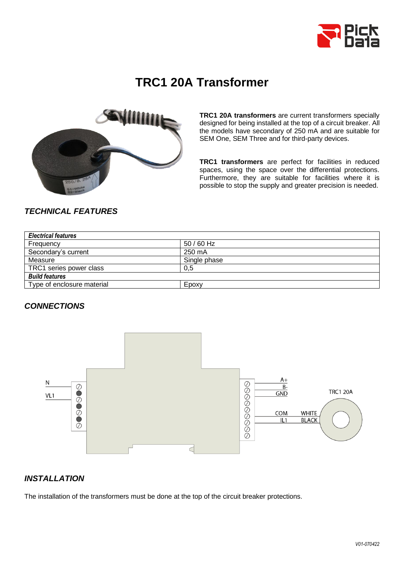

# **TRC1 20A Transformer**



**TRC1 20A transformers** are current transformers specially designed for being installed at the top of a circuit breaker. All the models have secondary of 250 mA and are suitable for SEM One, SEM Three and for third-party devices.

**TRC1 transformers** are perfect for facilities in reduced spaces, using the space over the differential protections. Furthermore, they are suitable for facilities where it is possible to stop the supply and greater precision is needed.

## *TECHNICAL FEATURES*

| <b>Electrical features</b> |              |
|----------------------------|--------------|
| Frequency                  | $50/60$ Hz   |
| Secondary's current        | 250 mA       |
| Measure                    | Single phase |
| TRC1 series power class    | 0.5          |
| <b>Build features</b>      |              |
| Type of enclosure material | Epoxy        |

#### *CONNECTIONS*



## *INSTALLATION*

The installation of the transformers must be done at the top of the circuit breaker protections.